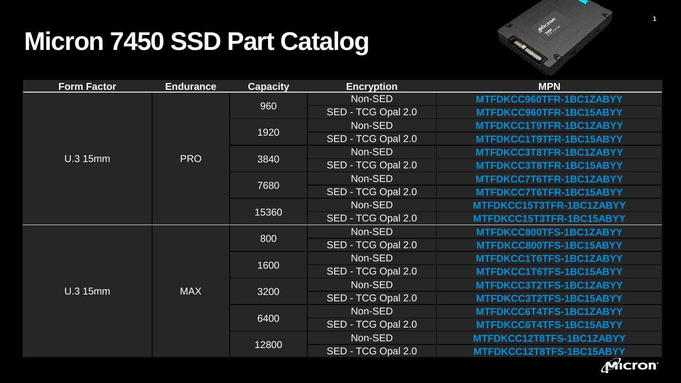

| <b>Form Factor</b> | <b>Endurance</b> | <b>Capacity</b> | <b>Encryption</b>  | <b>MPN</b>               |  |
|--------------------|------------------|-----------------|--------------------|--------------------------|--|
| <b>U.3 15mm</b>    | <b>PRO</b>       | 960             | Non-SED            | MTFDKCC960TFR-1BC1ZABYY  |  |
|                    |                  |                 | SED - TCG Opal 2.0 | MTFDKCC960TFR-1BC15ABYY  |  |
|                    |                  | 1920            | Non-SED            | MTFDKCC1T9TFR-1BC1ZABYY  |  |
|                    |                  |                 | SED - TCG Opal 2.0 | MTFDKCC1T9TFR-1BC15ABYY  |  |
|                    |                  | 3840            | Non-SED            | MTFDKCC3T8TFR-1BC1ZABYY  |  |
|                    |                  |                 | SED - TCG Opal 2.0 | MTFDKCC3T8TFR-1BC15ABYY  |  |
|                    |                  | 7680            | Non-SED            | MTFDKCC7T6TFR-1BC1ZABYY  |  |
|                    |                  |                 | SED - TCG Opal 2.0 | MTFDKCC7T6TFR-1BC15ABYY  |  |
|                    |                  | 15360           | Non-SED            | MTFDKCC15T3TFR-1BC1ZABYY |  |
|                    |                  |                 | SED - TCG Opal 2.0 | MTFDKCC15T3TFR-1BC15ABYY |  |
| <b>U.3 15mm</b>    | <b>MAX</b>       | 800             | Non-SED            | MTFDKCC800TFS-1BC1ZABYY  |  |
|                    |                  |                 | SED - TCG Opal 2.0 | MTFDKCC800TFS-1BC15ABYY  |  |
|                    |                  | 1600            | Non-SED            | MTFDKCC1T6TFS-1BC1ZABYY  |  |
|                    |                  |                 | SED - TCG Opal 2.0 | MTFDKCC1T6TFS-1BC15ABYY  |  |
|                    |                  | 3200            | Non-SED            | MTFDKCC3T2TFS-1BC1ZABYY  |  |
|                    |                  |                 | SED - TCG Opal 2.0 | MTFDKCC3T2TFS-1BC15ABYY  |  |
|                    |                  | 6400            | Non-SED            | MTFDKCC6T4TFS-1BC1ZABYY  |  |
|                    |                  |                 | SED - TCG Opal 2.0 | MTFDKCC6T4TFS-1BC15ABYY  |  |
|                    |                  | 12800           | Non-SED            | MTFDKCC12T8TFS-1BC1ZABYY |  |
|                    |                  |                 | SED - TCG Opal 2.0 | MTFDKCC12T8TFS-1BC15ABYY |  |
|                    |                  |                 |                    |                          |  |



**1**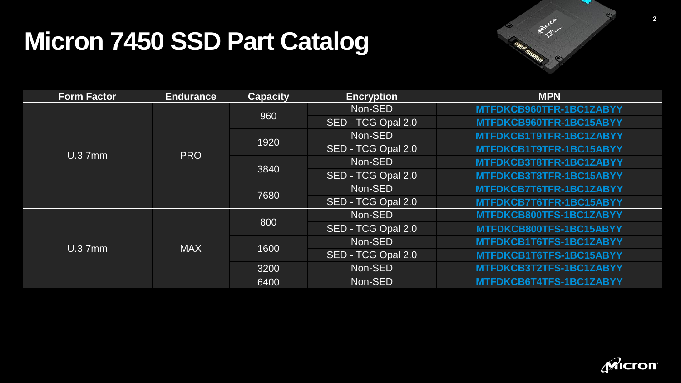

| <b>Form Factor</b> | <b>Endurance</b> | <b>Capacity</b> | <b>Encryption</b>  | <b>MPN</b>              |
|--------------------|------------------|-----------------|--------------------|-------------------------|
| U.37mm             | <b>PRO</b>       | 960             | Non-SED            | MTFDKCB960TFR-1BC1ZABYY |
|                    |                  |                 | SED - TCG Opal 2.0 | MTFDKCB960TFR-1BC15ABYY |
|                    |                  | 1920            | Non-SED            | MTFDKCB1T9TFR-1BC1ZABYY |
|                    |                  |                 | SED - TCG Opal 2.0 | MTFDKCB1T9TFR-1BC15ABYY |
|                    |                  | 3840            | Non-SED            | MTFDKCB3T8TFR-1BC1ZABYY |
|                    |                  |                 | SED - TCG Opal 2.0 | MTFDKCB3T8TFR-1BC15ABYY |
|                    |                  | 7680            | Non-SED            | MTFDKCB7T6TFR-1BC1ZABYY |
|                    |                  |                 | SED - TCG Opal 2.0 | MTFDKCB7T6TFR-1BC15ABYY |
| U.37mm             | <b>MAX</b>       | 800             | Non-SED            | MTFDKCB800TFS-1BC1ZABYY |
|                    |                  |                 | SED - TCG Opal 2.0 | MTFDKCB800TFS-1BC15ABYY |
|                    |                  | 1600            | Non-SED            | MTFDKCB1T6TFS-1BC1ZABYY |
|                    |                  |                 | SED - TCG Opal 2.0 | MTFDKCB1T6TFS-1BC15ABYY |
|                    |                  | 3200            | Non-SED            | MTFDKCB3T2TFS-1BC1ZABYY |
|                    |                  | 6400            | Non-SED            | MTFDKCB6T4TFS-1BC1ZABYY |



**2**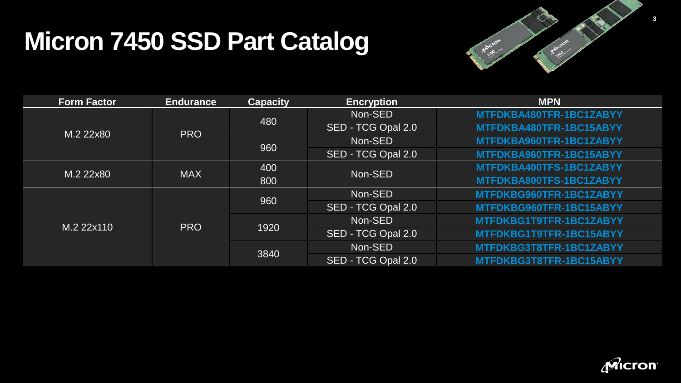

| <b>Form Factor</b> | <b>Endurance</b> | <b>Capacity</b> | <b>Encryption</b>  | <b>MPN</b>              |
|--------------------|------------------|-----------------|--------------------|-------------------------|
| M.2 22x80          | <b>PRO</b>       | 480             | Non-SED            | MTFDKBA480TFR-1BC1ZABYY |
|                    |                  |                 | SED - TCG Opal 2.0 | MTFDKBA480TFR-1BC15ABYY |
|                    |                  | 960             | Non-SED            | MTFDKBA960TFR-1BC1ZABYY |
|                    |                  |                 | SED - TCG Opal 2.0 | MTFDKBA960TFR-1BC15ABYY |
| M.2 22x80          | <b>MAX</b>       | 400             | Non-SED            | MTFDKBA400TFS-1BC1ZABYY |
|                    |                  | 800             |                    | MTFDKBA800TFS-1BC1ZABYY |
| M.2 22x110         | <b>PRO</b>       | 960             | Non-SED            | MTFDKBG960TFR-1BC1ZABYY |
|                    |                  |                 | SED - TCG Opal 2.0 | MTFDKBG960TFR-1BC15ABYY |
|                    |                  | 1920            | Non-SED            | MTFDKBG1T9TFR-1BC1ZABYY |
|                    |                  |                 | SED - TCG Opal 2.0 | MTFDKBG1T9TFR-1BC15ABYY |
|                    |                  | 3840            | Non-SED            | MTFDKBG3T8TFR-1BC1ZABYY |
|                    |                  |                 | SED - TCG Opal 2.0 | MTFDKBG3T8TFR-1BC15ABYY |

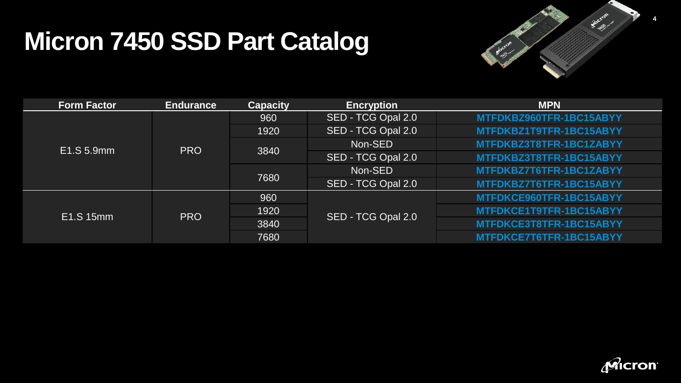

| <b>Form Factor</b> | <b>Endurance</b> | <b>Capacity</b> | <b>Encryption</b>  | <b>MPN</b>              |
|--------------------|------------------|-----------------|--------------------|-------------------------|
| E1.S 5.9mm         | <b>PRO</b>       | 960             | SED - TCG Opal 2.0 | MTFDKBZ960TFR-1BC15ABYY |
|                    |                  | 1920            | SED - TCG Opal 2.0 | MTFDKBZ1T9TFR-1BC15ABYY |
|                    |                  | 3840            | Non-SED            | MTFDKBZ3T8TFR-1BC1ZABYY |
|                    |                  |                 | SED - TCG Opal 2.0 | MTFDKBZ3T8TFR-1BC15ABYY |
|                    |                  | 7680            | Non-SED            | MTFDKBZ7T6TFR-1BC1ZABYY |
|                    |                  |                 | SED - TCG Opal 2.0 | MTFDKBZ7T6TFR-1BC15ABYY |
| E1.S 15mm          | <b>PRO</b>       | 960             | SED - TCG Opal 2.0 | MTFDKCE960TFR-1BC15ABYY |
|                    |                  | 1920            |                    | MTFDKCE1T9TFR-1BC15ABYY |
|                    |                  | 3840            |                    | MTFDKCE3T8TFR-1BC15ABYY |
|                    |                  | 7680            |                    | MTFDKCE7T6TFR-1BC15ABYY |